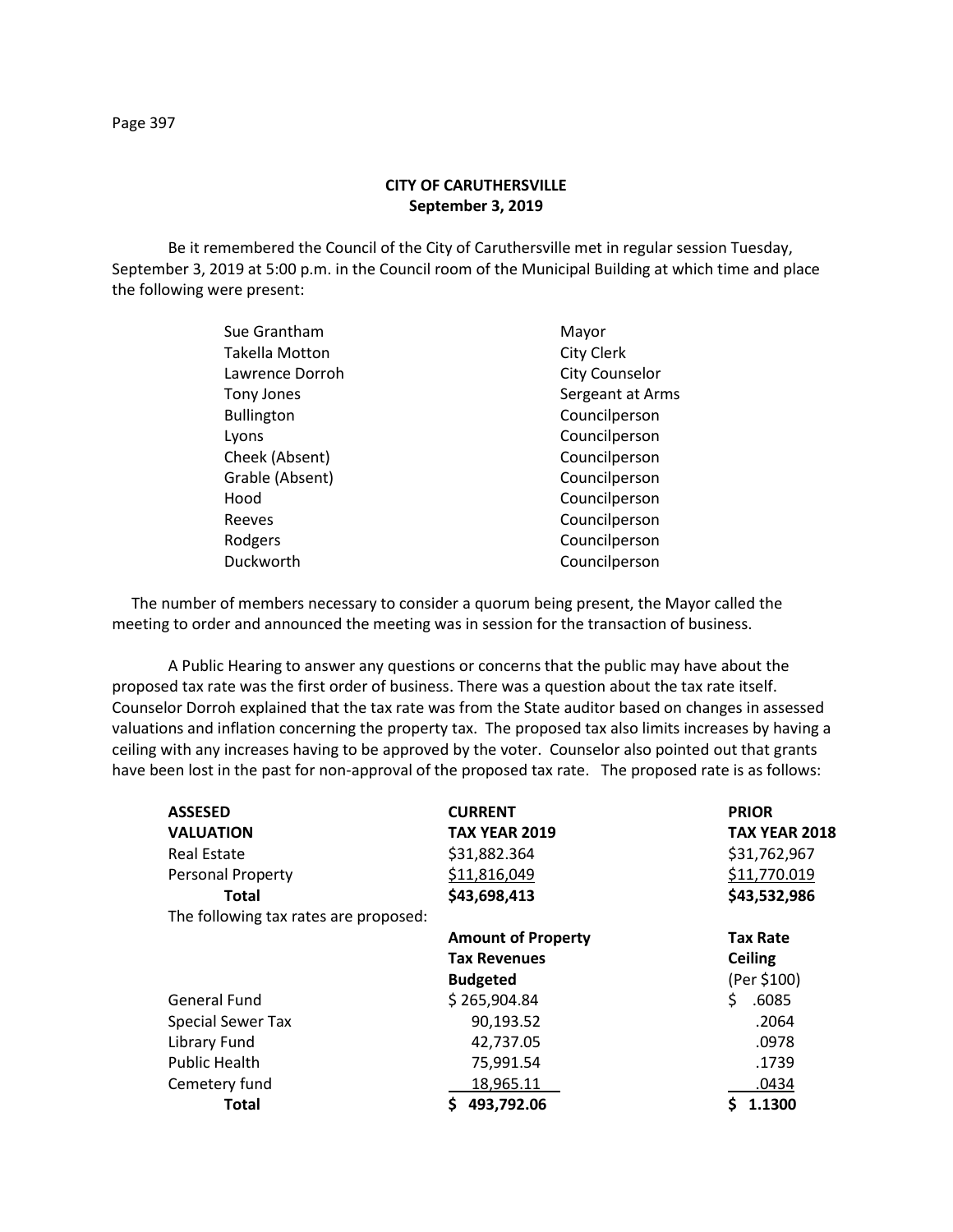## **CITY OF CARUTHERSVILLE September 3, 2019**

Be it remembered the Council of the City of Caruthersville met in regular session Tuesday, September 3, 2019 at 5:00 p.m. in the Council room of the Municipal Building at which time and place the following were present:

| Sue Grantham          | Mayor             |
|-----------------------|-------------------|
| <b>Takella Motton</b> | <b>City Clerk</b> |
| Lawrence Dorroh       | City Counselor    |
| Tony Jones            | Sergeant at Arms  |
| <b>Bullington</b>     | Councilperson     |
| Lyons                 | Councilperson     |
| Cheek (Absent)        | Councilperson     |
| Grable (Absent)       | Councilperson     |
| Hood                  | Councilperson     |
| Reeves                | Councilperson     |
| Rodgers               | Councilperson     |
| Duckworth             | Councilperson     |
|                       |                   |

 The number of members necessary to consider a quorum being present, the Mayor called the meeting to order and announced the meeting was in session for the transaction of business.

A Public Hearing to answer any questions or concerns that the public may have about the proposed tax rate was the first order of business. There was a question about the tax rate itself. Counselor Dorroh explained that the tax rate was from the State auditor based on changes in assessed valuations and inflation concerning the property tax. The proposed tax also limits increases by having a ceiling with any increases having to be approved by the voter. Counselor also pointed out that grants have been lost in the past for non-approval of the proposed tax rate. The proposed rate is as follows:

| <b>ASSESED</b>                        | <b>CURRENT</b>            | <b>PRIOR</b>         |  |
|---------------------------------------|---------------------------|----------------------|--|
| <b>VALUATION</b>                      | <b>TAX YEAR 2019</b>      | <b>TAX YEAR 2018</b> |  |
| Real Estate                           | \$31,882.364              | \$31,762,967         |  |
| Personal Property                     | \$11,816,049              | \$11,770.019         |  |
| Total                                 | \$43,698,413              | \$43,532,986         |  |
| The following tax rates are proposed: |                           |                      |  |
|                                       | <b>Amount of Property</b> | <b>Tax Rate</b>      |  |
|                                       | <b>Tax Revenues</b>       | <b>Ceiling</b>       |  |
|                                       | <b>Budgeted</b>           | (Per \$100)          |  |
| <b>General Fund</b>                   | \$265,904.84              | \$<br>.6085          |  |
| <b>Special Sewer Tax</b>              | 90,193.52                 | .2064                |  |
| Library Fund                          | 42,737.05                 | .0978                |  |
| <b>Public Health</b>                  | 75,991.54                 | .1739                |  |
| Cemetery fund                         | 18,965.11                 | .0434                |  |
| <b>Total</b>                          | 493,792.06                | 1.1300               |  |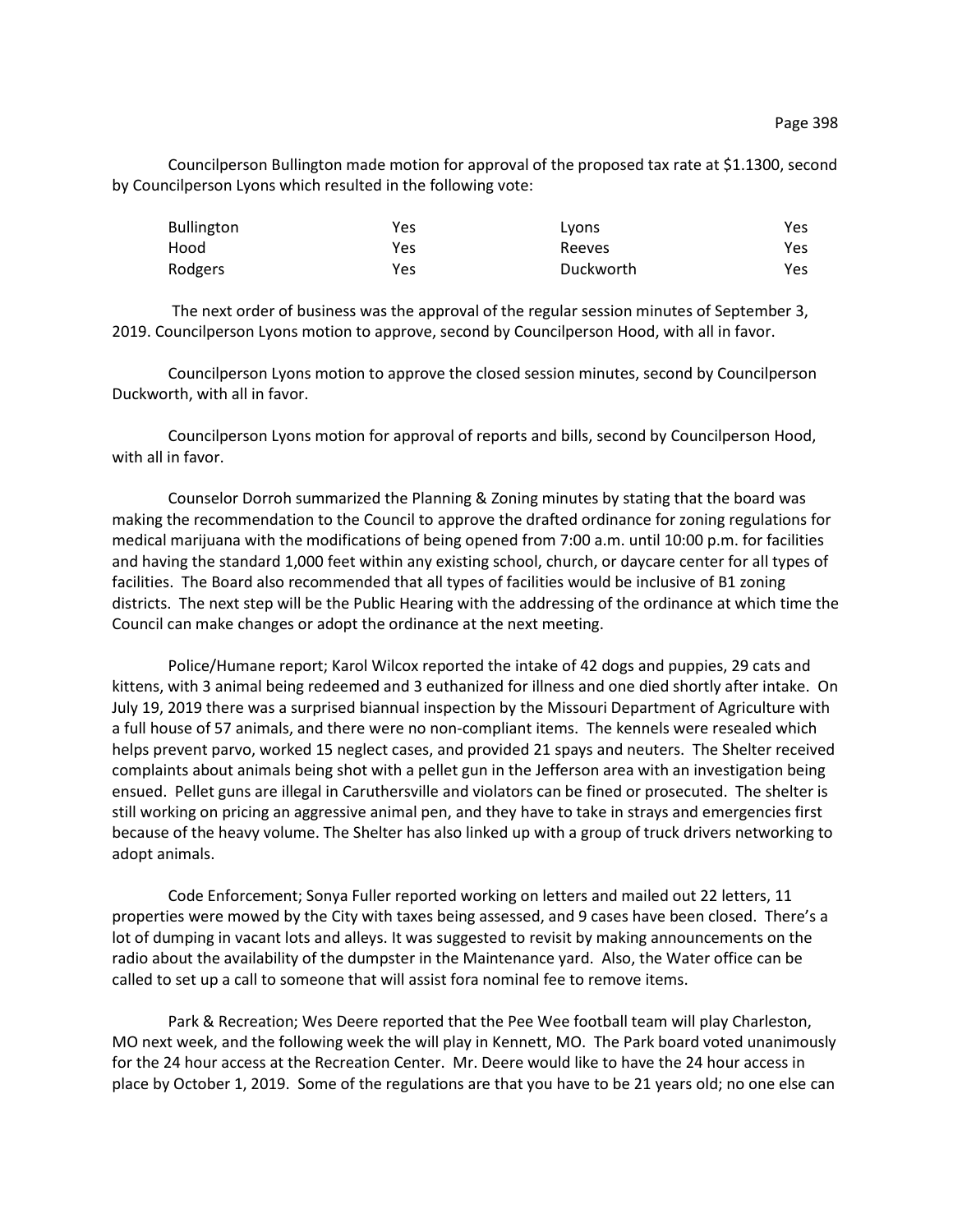Councilperson Bullington made motion for approval of the proposed tax rate at \$1.1300, second by Councilperson Lyons which resulted in the following vote:

| <b>Bullington</b> | Yes | Lyons     | Yes |
|-------------------|-----|-----------|-----|
| Hood              | Yes | Reeves    | Yes |
| Rodgers           | Yes | Duckworth | Yes |

The next order of business was the approval of the regular session minutes of September 3, 2019. Councilperson Lyons motion to approve, second by Councilperson Hood, with all in favor.

Councilperson Lyons motion to approve the closed session minutes, second by Councilperson Duckworth, with all in favor.

Councilperson Lyons motion for approval of reports and bills, second by Councilperson Hood, with all in favor.

Counselor Dorroh summarized the Planning & Zoning minutes by stating that the board was making the recommendation to the Council to approve the drafted ordinance for zoning regulations for medical marijuana with the modifications of being opened from 7:00 a.m. until 10:00 p.m. for facilities and having the standard 1,000 feet within any existing school, church, or daycare center for all types of facilities. The Board also recommended that all types of facilities would be inclusive of B1 zoning districts. The next step will be the Public Hearing with the addressing of the ordinance at which time the Council can make changes or adopt the ordinance at the next meeting.

Police/Humane report; Karol Wilcox reported the intake of 42 dogs and puppies, 29 cats and kittens, with 3 animal being redeemed and 3 euthanized for illness and one died shortly after intake. On July 19, 2019 there was a surprised biannual inspection by the Missouri Department of Agriculture with a full house of 57 animals, and there were no non-compliant items. The kennels were resealed which helps prevent parvo, worked 15 neglect cases, and provided 21 spays and neuters. The Shelter received complaints about animals being shot with a pellet gun in the Jefferson area with an investigation being ensued. Pellet guns are illegal in Caruthersville and violators can be fined or prosecuted. The shelter is still working on pricing an aggressive animal pen, and they have to take in strays and emergencies first because of the heavy volume. The Shelter has also linked up with a group of truck drivers networking to adopt animals.

Code Enforcement; Sonya Fuller reported working on letters and mailed out 22 letters, 11 properties were mowed by the City with taxes being assessed, and 9 cases have been closed. There's a lot of dumping in vacant lots and alleys. It was suggested to revisit by making announcements on the radio about the availability of the dumpster in the Maintenance yard. Also, the Water office can be called to set up a call to someone that will assist fora nominal fee to remove items.

Park & Recreation; Wes Deere reported that the Pee Wee football team will play Charleston, MO next week, and the following week the will play in Kennett, MO. The Park board voted unanimously for the 24 hour access at the Recreation Center. Mr. Deere would like to have the 24 hour access in place by October 1, 2019. Some of the regulations are that you have to be 21 years old; no one else can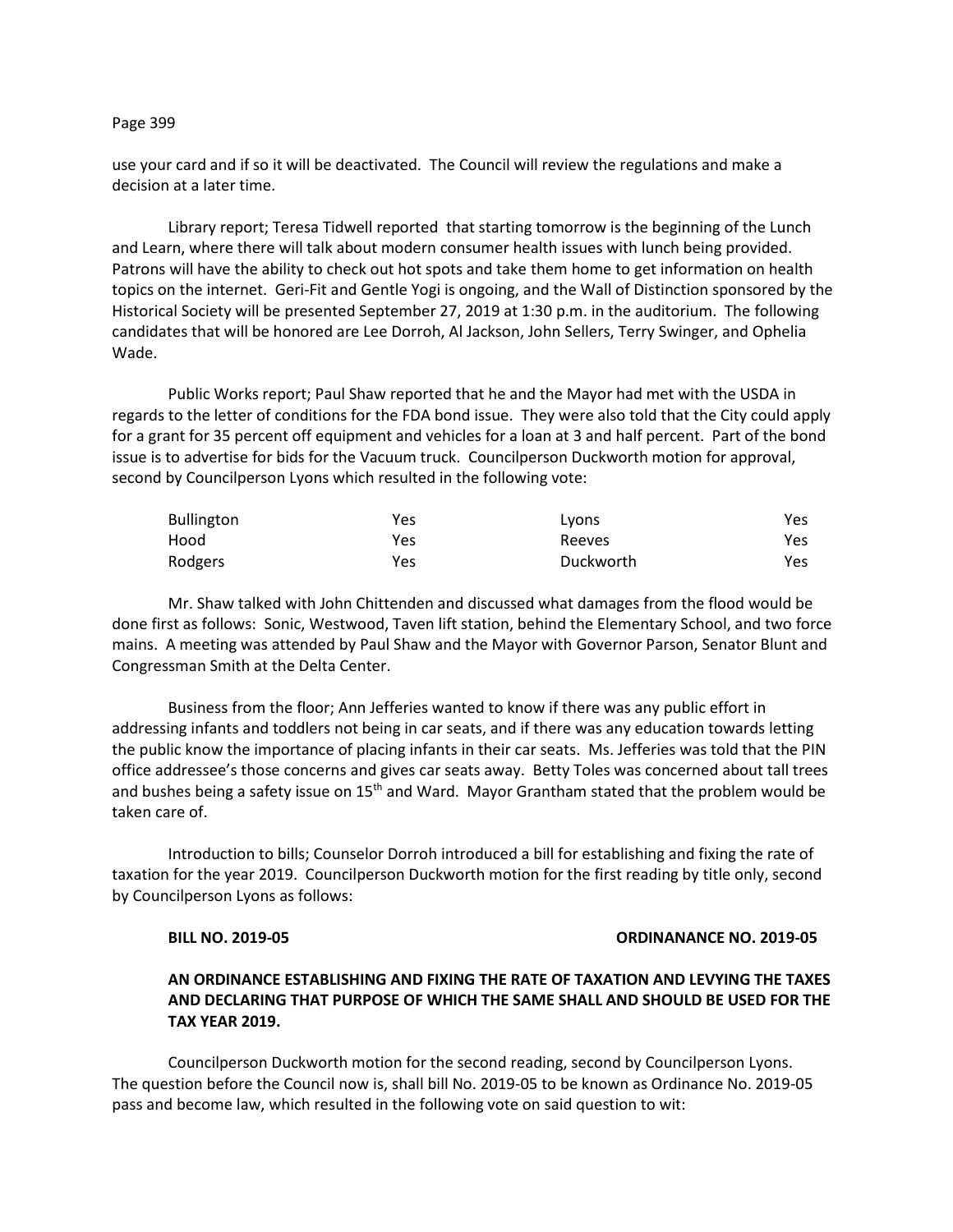### Page 399

use your card and if so it will be deactivated. The Council will review the regulations and make a decision at a later time.

Library report; Teresa Tidwell reported that starting tomorrow is the beginning of the Lunch and Learn, where there will talk about modern consumer health issues with lunch being provided. Patrons will have the ability to check out hot spots and take them home to get information on health topics on the internet. Geri-Fit and Gentle Yogi is ongoing, and the Wall of Distinction sponsored by the Historical Society will be presented September 27, 2019 at 1:30 p.m. in the auditorium. The following candidates that will be honored are Lee Dorroh, Al Jackson, John Sellers, Terry Swinger, and Ophelia Wade.

Public Works report; Paul Shaw reported that he and the Mayor had met with the USDA in regards to the letter of conditions for the FDA bond issue. They were also told that the City could apply for a grant for 35 percent off equipment and vehicles for a loan at 3 and half percent. Part of the bond issue is to advertise for bids for the Vacuum truck. Councilperson Duckworth motion for approval, second by Councilperson Lyons which resulted in the following vote:

| <b>Bullington</b> | Yes | Lyons     | Yes |
|-------------------|-----|-----------|-----|
| Hood              | Yes | Reeves    | Yes |
| Rodgers           | Yes | Duckworth | Yes |

Mr. Shaw talked with John Chittenden and discussed what damages from the flood would be done first as follows: Sonic, Westwood, Taven lift station, behind the Elementary School, and two force mains. A meeting was attended by Paul Shaw and the Mayor with Governor Parson, Senator Blunt and Congressman Smith at the Delta Center.

Business from the floor; Ann Jefferies wanted to know if there was any public effort in addressing infants and toddlers not being in car seats, and if there was any education towards letting the public know the importance of placing infants in their car seats. Ms. Jefferies was told that the PIN office addressee's those concerns and gives car seats away. Betty Toles was concerned about tall trees and bushes being a safety issue on  $15<sup>th</sup>$  and Ward. Mayor Grantham stated that the problem would be taken care of.

Introduction to bills; Counselor Dorroh introduced a bill for establishing and fixing the rate of taxation for the year 2019. Councilperson Duckworth motion for the first reading by title only, second by Councilperson Lyons as follows:

### **BILL NO. 2019-05 ORDINANANCE NO. 2019-05**

# **AN ORDINANCE ESTABLISHING AND FIXING THE RATE OF TAXATION AND LEVYING THE TAXES AND DECLARING THAT PURPOSE OF WHICH THE SAME SHALL AND SHOULD BE USED FOR THE TAX YEAR 2019.**

Councilperson Duckworth motion for the second reading, second by Councilperson Lyons. The question before the Council now is, shall bill No. 2019-05 to be known as Ordinance No. 2019-05 pass and become law, which resulted in the following vote on said question to wit: